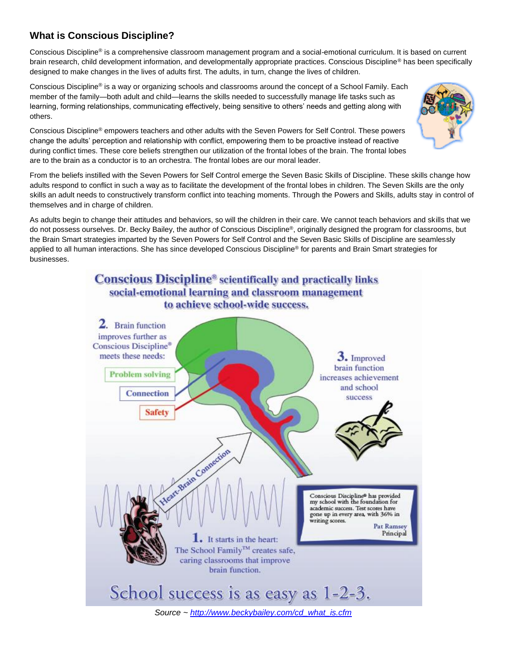## **What is Conscious Discipline?**

Conscious Discipline® is a comprehensive classroom management program and a social-emotional curriculum. It is based on current brain research, child development information, and developmentally appropriate practices. Conscious Discipline® has been specifically designed to make changes in the lives of adults first. The adults, in turn, change the lives of children.

Conscious Discipline® is a way or organizing schools and classrooms around the concept of a School Family. Each member of the family—both adult and child—learns the skills needed to successfully manage life tasks such as learning, forming relationships, communicating effectively, being sensitive to others' needs and getting along with others.

Conscious Discipline® empowers teachers and other adults with the Seven Powers for Self Control. These powers change the adults' perception and relationship with conflict, empowering them to be proactive instead of reactive during conflict times. These core beliefs strengthen our utilization of the frontal lobes of the brain. The frontal lobes are to the brain as a conductor is to an orchestra. The frontal lobes are our moral leader.



As adults begin to change their attitudes and behaviors, so will the children in their care. We cannot teach behaviors and skills that we do not possess ourselves. Dr. Becky Bailey, the author of Conscious Discipline®, originally designed the program for classrooms, but the Brain Smart strategies imparted by the Seven Powers for Self Control and the Seven Basic Skills of Discipline are seamlessly applied to all human interactions. She has since developed Conscious Discipline® for parents and Brain Smart strategies for businesses.